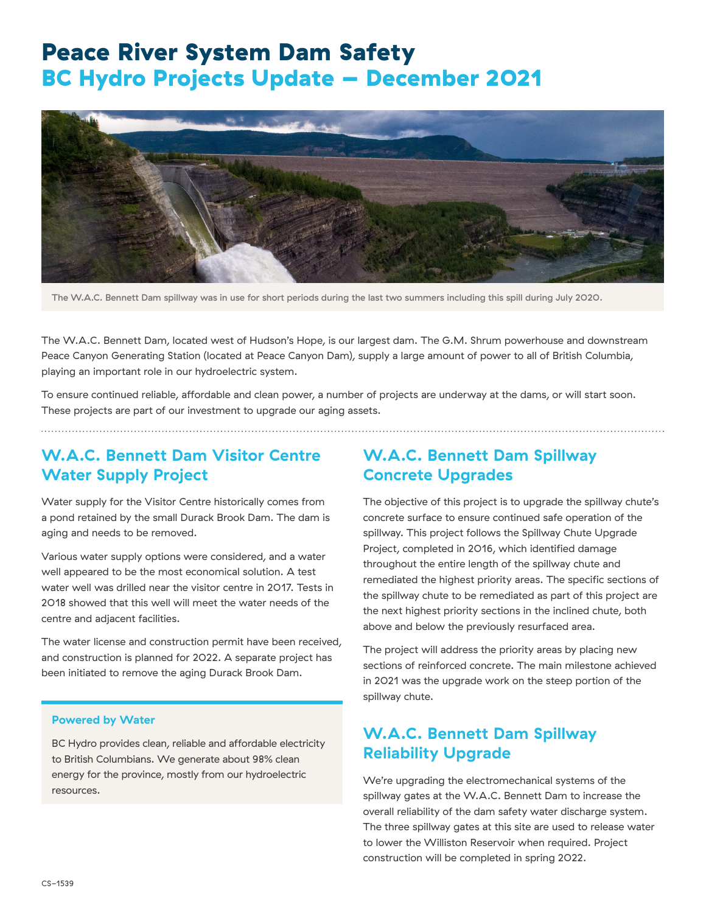# Peace River System Dam Safety BC Hydro Projects Update – December 2021



The W.A.C. Bennett Dam spillway was in use for short periods during the last two summers including this spill during July 2020.

The W.A.C. Bennett Dam, located west of Hudson's Hope, is our largest dam. The G.M. Shrum powerhouse and downstream Peace Canyon Generating Station (located at Peace Canyon Dam), supply a large amount of power to all of British Columbia, playing an important role in our hydroelectric system.

To ensure continued reliable, affordable and clean power, a number of projects are underway at the dams, or will start soon. These projects are part of our investment to upgrade our aging assets.

### **W.A.C. Bennett Dam Visitor Centre Water Supply Project**

Water supply for the Visitor Centre historically comes from a pond retained by the small Durack Brook Dam. The dam is aging and needs to be removed.

Various water supply options were considered, and a water well appeared to be the most economical solution. A test water well was drilled near the visitor centre in 2017. Tests in 2018 showed that this well will meet the water needs of the centre and adjacent facilities.

The water license and construction permit have been received, and construction is planned for 2022. A separate project has been initiated to remove the aging Durack Brook Dam.

#### **Powered by Water**

BC Hydro provides clean, reliable and affordable electricity to British Columbians. We generate about 98% clean energy for the province, mostly from our hydroelectric resources.

### **W.A.C. Bennett Dam Spillway Concrete Upgrades**

The objective of this project is to upgrade the spillway chute's concrete surface to ensure continued safe operation of the spillway. This project follows the Spillway Chute Upgrade Project, completed in 2016, which identified damage throughout the entire length of the spillway chute and remediated the highest priority areas. The specific sections of the spillway chute to be remediated as part of this project are the next highest priority sections in the inclined chute, both above and below the previously resurfaced area.

The project will address the priority areas by placing new sections of reinforced concrete. The main milestone achieved in 2021 was the upgrade work on the steep portion of the spillway chute.

### **W.A.C. Bennett Dam Spillway Reliability Upgrade**

We're upgrading the electromechanical systems of the spillway gates at the W.A.C. Bennett Dam to increase the overall reliability of the dam safety water discharge system. The three spillway gates at this site are used to release water to lower the Williston Reservoir when required. Project construction will be completed in spring 2022.